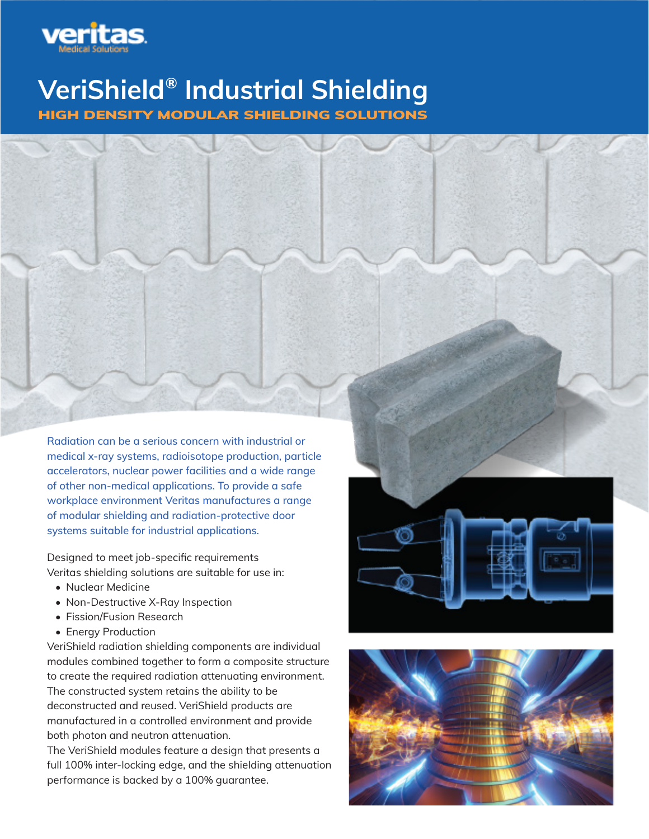

# VeriShield® Industrial Shielding HIGH DENSITY MODULAR SHIELDING SOLUTIONS

Radiation can be a serious concern with industrial or medical x-ray systems, radioisotope production, particle accelerators, nuclear power facilities and a wide range of other non-medical applications. To provide a safe workplace environment Veritas manufactures a range of modular shielding and radiation-protective door systems suitable for industrial applications.

Designed to meet job-specific requirements Veritas shielding solutions are suitable for use in:

- Nuclear Medicine
- Non-Destructive X-Ray Inspection
- Fission/Fusion Research
- Energy Production

VeriShield radiation shielding components are individual modules combined together to form a composite structure to create the required radiation attenuating environment. The constructed system retains the ability to be deconstructed and reused. VeriShield products are manufactured in a controlled environment and provide both photon and neutron attenuation.

The VeriShield modules feature a design that presents a full 100% inter-locking edge, and the shielding attenuation performance is backed by a 100% guarantee.



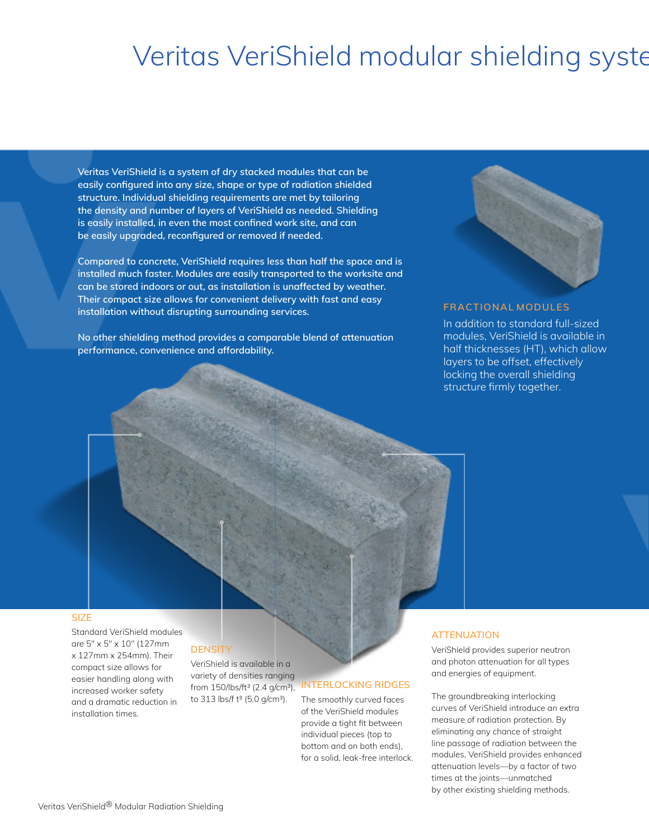# Veritas VeriShield modular shielding syste

Veritas VeriShield is a system of dry stacked modules that can be easily configured into any size, shape or type of radiation shielded structure. Individual shielding requirements are met by tailoring the density and number of layers of VeriShield as needed. Shielding is easily installed, in even the most confined work site, and can be easily upgraded, reconfigured or removed if needed.

Compared to concrete, VeriShield requires less than half the space and is installed much faster. Modules are easily transported to the worksite and can be stored indoors or out, as installation is unaffected by weather. Their compact size allows for convenient delivery with fast and easy installation without disrupting surrounding services.

No other shielding method provides a comparable blend of attenuation performance, convenience and affordability.



# FRACTIONAL MODULES

In addition to standard full-sized modules, VeriShield is available in half thicknesses (HT), which allow layers to be offset, effectively locking the overall shielding structure firmly together.

### **SIZE**

Standard VeriShield modules are 5″ x 5″ x 10″ (127mm x 127mm x 254mm). Their compact size allows for easier handling along with increased worker safety and a dramatic reduction in installation times.

# **DENSITY**

VeriShield is available in a variety of densities ranging from 150/lbs/ft3 (2.4 g/cm3), to 313 lbs/f t<sup>3</sup> (5.0 g/cm<sup>3</sup>).

# *TERLOCKING RIDGES*

The smoothly curved faces of the VeriShield modules provide a tight fit between individual pieces (top to bottom and on both ends), for a solid, leak-free interlock.

# **ATTENUATION**

VeriShield provides superior neutron and photon attenuation for all types and energies of equipment.

The groundbreaking interlocking curves of VeriShield introduce an extra measure of radiation protection. By eliminating any chance of straight line passage of radiation between the modules, VeriShield provides enhanced attenuation levels—by a factor of two times at the joints—unmatched by other existing shielding methods.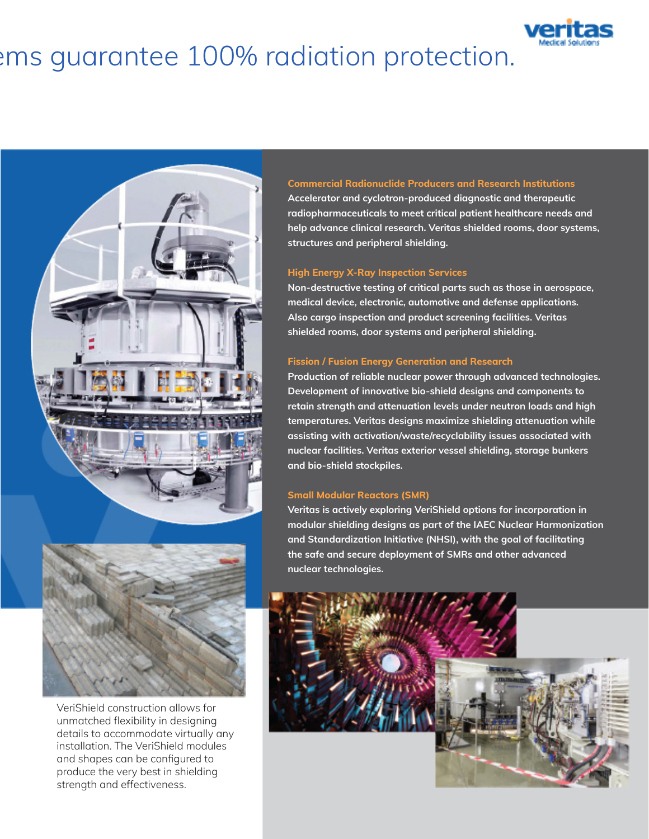# ems guarantee 100% radiation protection.





VeriShield construction allows for unmatched flexibility in designing details to accommodate virtually any installation. The VeriShield modules and shapes can be configured to produce the very best in shielding strength and effectiveness.

# Commercial Radionuclide Producers and Research Institutions

Accelerator and cyclotron-produced diagnostic and therapeutic radiopharmaceuticals to meet critical patient healthcare needs and help advance clinical research. Veritas shielded rooms, door systems, structures and peripheral shielding.

#### High Energy X-Ray Inspection Services

Non-destructive testing of critical parts such as those in aerospace, medical device, electronic, automotive and defense applications. Also cargo inspection and product screening facilities. Veritas shielded rooms, door systems and peripheral shielding.

# Fission / Fusion Energy Generation and Research

Production of reliable nuclear power through advanced technologies. Development of innovative bio-shield designs and components to retain strength and attenuation levels under neutron loads and high temperatures. Veritas designs maximize shielding attenuation while assisting with activation/waste/recyclability issues associated with nuclear facilities. Veritas exterior vessel shielding, storage bunkers and bio-shield stockpiles.

## Small Modular Reactors (SMR)

Veritas is actively exploring VeriShield options for incorporation in modular shielding designs as part of the IAEC Nuclear Harmonization and Standardization Initiative (NHSI), with the goal of facilitating the safe and secure deployment of SMRs and other advanced nuclear technologies.